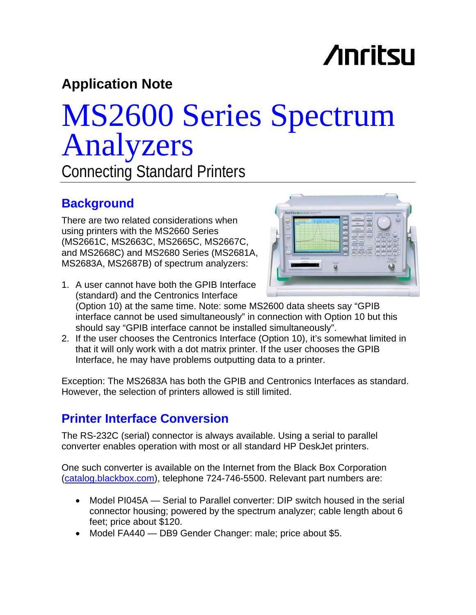## **Anritsu**

### **Application Note**

# MS2600 Series Spectrum Analyzers

Connecting Standard Printers

### **Background**

There are two related considerations when using printers with the MS2660 Series (MS2661C, MS2663C, MS2665C, MS2667C, and MS2668C) and MS2680 Series (MS2681A, MS2683A, MS2687B) of spectrum analyzers:



1. A user cannot have both the GPIB Interface (standard) and the Centronics Interface

(Option 10) at the same time. Note: some MS2600 data sheets say "GPIB interface cannot be used simultaneously" in connection with Option 10 but this should say "GPIB interface cannot be installed simultaneously".

2. If the user chooses the Centronics Interface (Option 10), it's somewhat limited in that it will only work with a dot matrix printer. If the user chooses the GPIB Interface, he may have problems outputting data to a printer.

Exception: The MS2683A has both the GPIB and Centronics Interfaces as standard. However, the selection of printers allowed is still limited.

#### **Printer Interface Conversion**

The RS-232C (serial) connector is always available. Using a serial to parallel converter enables operation with most or all standard HP DeskJet printers.

One such converter is available on the Internet from the Black Box Corporation [\(catalog.blackbox.com\)](http://catalog.blackbox.com/), telephone 724-746-5500. Relevant part numbers are:

- Model PI045A Serial to Parallel converter: DIP switch housed in the serial connector housing; powered by the spectrum analyzer; cable length about 6 feet; price about \$120.
- Model FA440 DB9 Gender Changer: male; price about \$5.